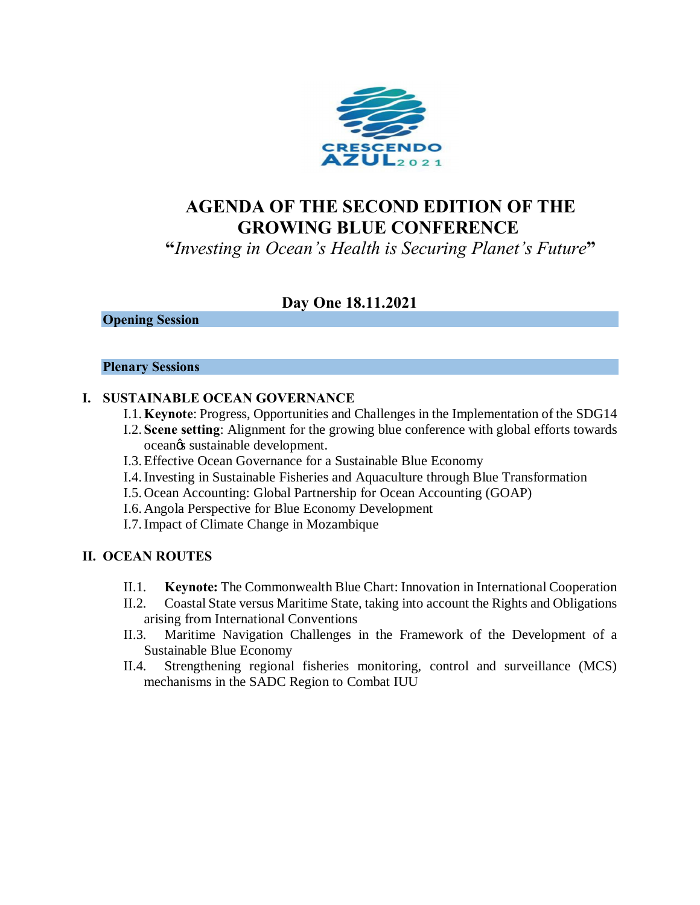

# **AGENDA OF THE SECOND EDITION OF THE GROWING BLUE CONFERENCE**

**"***Investing in Ocean's Health is Securing Planet's Future***"**

# **Day One 18.11.2021**

#### **Opening Session**

#### **Plenary Sessions**

#### **I. SUSTAINABLE OCEAN GOVERNANCE**

- I.1.**Keynote**: Progress, Opportunities and Challenges in the Implementation of the SDG14
- I.2. **Scene setting**: Alignment for the growing blue conference with global efforts towards ocean $\alpha$ s sustainable development.
- I.3.Effective Ocean Governance for a Sustainable Blue Economy
- I.4.Investing in Sustainable Fisheries and Aquaculture through Blue Transformation
- I.5. Ocean Accounting: Global Partnership for Ocean Accounting (GOAP)
- I.6. Angola Perspective for Blue Economy Development
- I.7.Impact of Climate Change in Mozambique

#### **II. OCEAN ROUTES**

- II.1. **Keynote:** The Commonwealth Blue Chart: Innovation in International Cooperation
- II.2. Coastal State versus Maritime State, taking into account the Rights and Obligations arising from International Conventions
- II.3. Maritime Navigation Challenges in the Framework of the Development of a Sustainable Blue Economy
- II.4. Strengthening regional fisheries monitoring, control and surveillance (MCS) mechanisms in the SADC Region to Combat IUU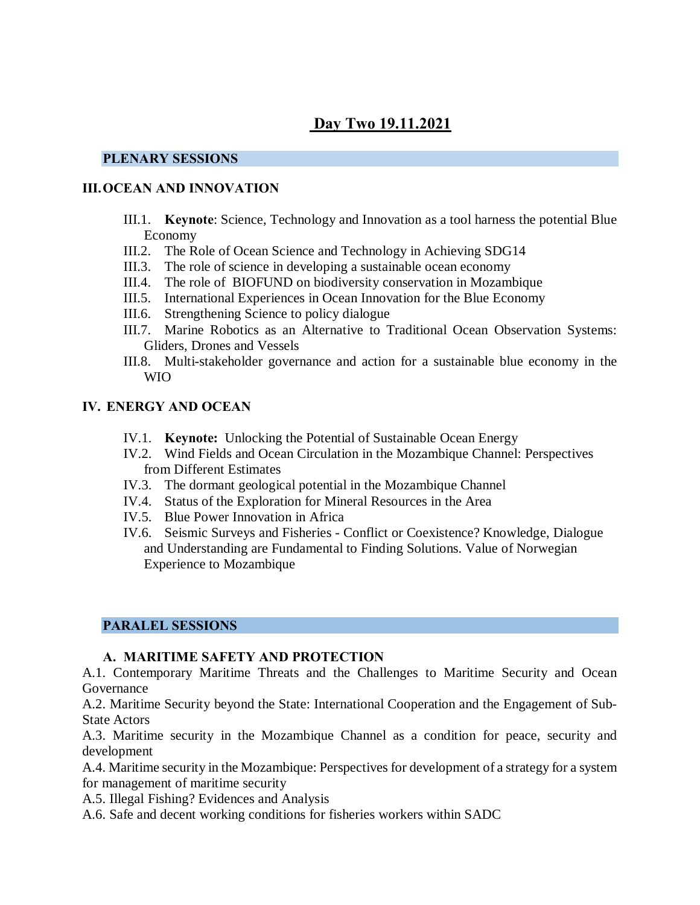# **Day Two 19.11.2021**

#### **PLENARY SESSIONS**

### **III.OCEAN AND INNOVATION**

- III.1. **Keynote**: Science, Technology and Innovation as a tool harness the potential Blue Economy
- III.2. The Role of Ocean Science and Technology in Achieving SDG14
- III.3. The role of science in developing a sustainable ocean economy
- III.4. The role of BIOFUND on biodiversity conservation in Mozambique
- III.5. International Experiences in Ocean Innovation for the Blue Economy
- III.6. Strengthening Science to policy dialogue
- III.7. Marine Robotics as an Alternative to Traditional Ocean Observation Systems: Gliders, Drones and Vessels
- III.8. Multi-stakeholder governance and action for a sustainable blue economy in the WIO

#### **IV. ENERGY AND OCEAN**

- IV.1. **Keynote:** Unlocking the Potential of Sustainable Ocean Energy
- IV.2. Wind Fields and Ocean Circulation in the Mozambique Channel: Perspectives from Different Estimates
- IV.3. The dormant geological potential in the Mozambique Channel
- IV.4. Status of the Exploration for Mineral Resources in the Area
- IV.5. Blue Power Innovation in Africa
- IV.6. Seismic Surveys and Fisheries Conflict or Coexistence? Knowledge, Dialogue and Understanding are Fundamental to Finding Solutions. Value of Norwegian Experience to Mozambique

### **PARALEL SESSIONS**

### **A. MARITIME SAFETY AND PROTECTION**

A.1. Contemporary Maritime Threats and the Challenges to Maritime Security and Ocean Governance

A.2. Maritime Security beyond the State: International Cooperation and the Engagement of Sub-State Actors

A.3. Maritime security in the Mozambique Channel as a condition for peace, security and development

A.4. Maritime security in the Mozambique: Perspectives for development of a strategy for a system for management of maritime security

A.5. Illegal Fishing? Evidences and Analysis

A.6. Safe and decent working conditions for fisheries workers within SADC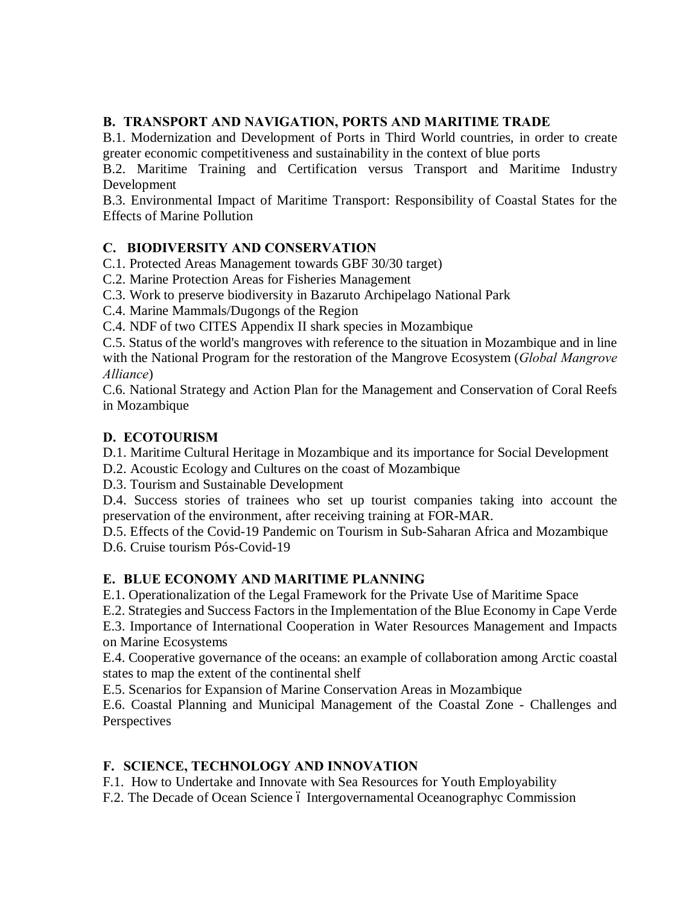# **B. TRANSPORT AND NAVIGATION, PORTS AND MARITIME TRADE**

B.1. Modernization and Development of Ports in Third World countries, in order to create greater economic competitiveness and sustainability in the context of blue ports

B.2. Maritime Training and Certification versus Transport and Maritime Industry Development

B.3. Environmental Impact of Maritime Transport: Responsibility of Coastal States for the Effects of Marine Pollution

# **C. BIODIVERSITY AND CONSERVATION**

C.1. Protected Areas Management towards GBF 30/30 target)

C.2. Marine Protection Areas for Fisheries Management

C.3. Work to preserve biodiversity in Bazaruto Archipelago National Park

C.4. Marine Mammals/Dugongs of the Region

C.4. NDF of two CITES Appendix II shark species in Mozambique

C.5. Status of the world's mangroves with reference to the situation in Mozambique and in line with the National Program for the restoration of the Mangrove Ecosystem (*Global Mangrove Alliance*)

C.6. National Strategy and Action Plan for the Management and Conservation of Coral Reefs in Mozambique

### **D. ECOTOURISM**

D.1. Maritime Cultural Heritage in Mozambique and its importance for Social Development

D.2. Acoustic Ecology and Cultures on the coast of Mozambique

D.3. Tourism and Sustainable Development

D.4. Success stories of trainees who set up tourist companies taking into account the preservation of the environment, after receiving training at FOR-MAR.

D.5. Effects of the Covid-19 Pandemic on Tourism in Sub-Saharan Africa and Mozambique D.6. Cruise tourism Pós-Covid-19

# **E. BLUE ECONOMY AND MARITIME PLANNING**

E.1. Operationalization of the Legal Framework for the Private Use of Maritime Space

E.2. Strategies and Success Factors in the Implementation of the Blue Economy in Cape Verde

E.3. Importance of International Cooperation in Water Resources Management and Impacts on Marine Ecosystems

E.4. Cooperative governance of the oceans: an example of collaboration among Arctic coastal states to map the extent of the continental shelf

E.5. Scenarios for Expansion of Marine Conservation Areas in Mozambique

E.6. Coastal Planning and Municipal Management of the Coastal Zone - Challenges and **Perspectives** 

# **F. SCIENCE, TECHNOLOGY AND INNOVATION**

F.1. How to Undertake and Innovate with Sea Resources for Youth Employability

F.2. The Decade of Ocean Science ó Intergovernamental Oceanographyc Commission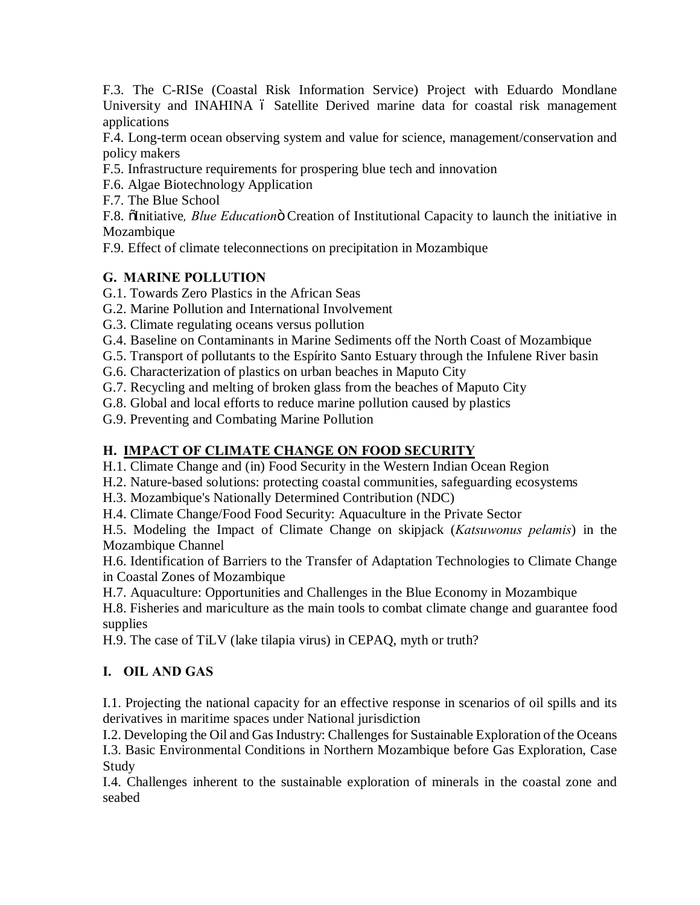F.3. The C-RISe (Coastal Risk Information Service) Project with Eduardo Mondlane University and INAHINA 6 Satellite Derived marine data for coastal risk management applications

F.4. Long-term ocean observing system and value for science, management/conservation and policy makers

- F.5. Infrastructure requirements for prospering blue tech and innovation
- F.6. Algae Biotechnology Application
- F.7. The Blue School

F.8.  $\delta$ Initiative, *Blue Education* $\delta$  Creation of Institutional Capacity to launch the initiative in Mozambique

F.9. Effect of climate teleconnections on precipitation in Mozambique

# **G. MARINE POLLUTION**

- G.1. Towards Zero Plastics in the African Seas
- G.2. Marine Pollution and International Involvement
- G.3. Climate regulating oceans versus pollution
- G.4. Baseline on Contaminants in Marine Sediments off the North Coast of Mozambique
- G.5. Transport of pollutants to the Espírito Santo Estuary through the Infulene River basin
- G.6. Characterization of plastics on urban beaches in Maputo City
- G.7. Recycling and melting of broken glass from the beaches of Maputo City
- G.8. Global and local efforts to reduce marine pollution caused by plastics
- G.9. Preventing and Combating Marine Pollution

# **H. IMPACT OF CLIMATE CHANGE ON FOOD SECURITY**

H.1. Climate Change and (in) Food Security in the Western Indian Ocean Region

- H.2. Nature-based solutions: protecting coastal communities, safeguarding ecosystems
- H.3. Mozambique's Nationally Determined Contribution (NDC)
- H.4. Climate Change/Food Food Security: Aquaculture in the Private Sector

H.5. Modeling the Impact of Climate Change on skipjack (*Katsuwonus pelamis*) in the Mozambique Channel

H.6. Identification of Barriers to the Transfer of Adaptation Technologies to Climate Change in Coastal Zones of Mozambique

H.7. Aquaculture: Opportunities and Challenges in the Blue Economy in Mozambique

H.8. Fisheries and mariculture as the main tools to combat climate change and guarantee food supplies

H.9. The case of TiLV (lake tilapia virus) in CEPAQ, myth or truth?

# **I. OIL AND GAS**

I.1. Projecting the national capacity for an effective response in scenarios of oil spills and its derivatives in maritime spaces under National jurisdiction

I.2. Developing the Oil and Gas Industry: Challenges for Sustainable Exploration of the Oceans

I.3. Basic Environmental Conditions in Northern Mozambique before Gas Exploration, Case Study

I.4. Challenges inherent to the sustainable exploration of minerals in the coastal zone and seabed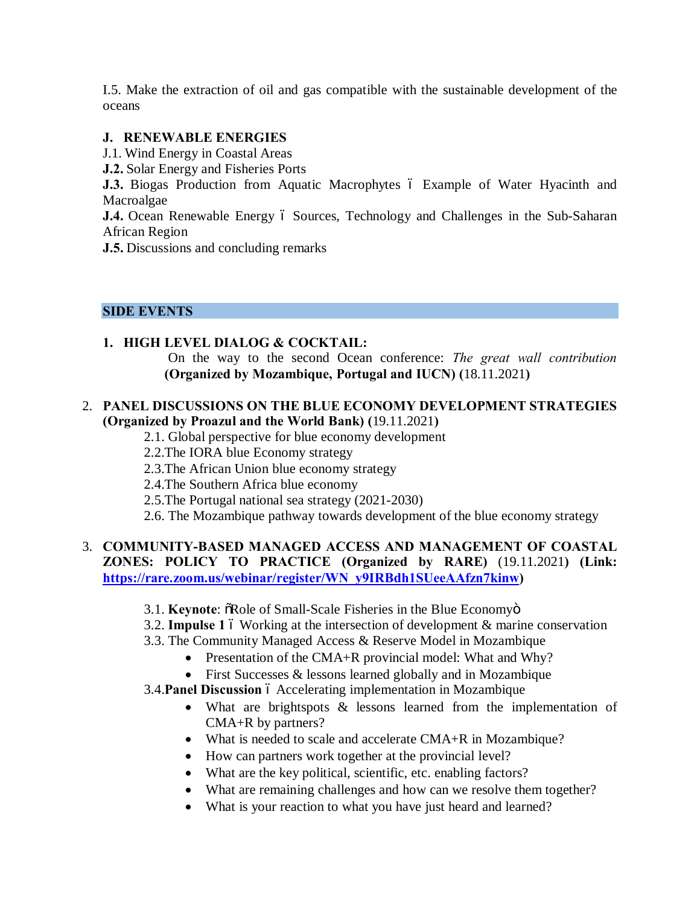I.5. Make the extraction of oil and gas compatible with the sustainable development of the oceans

#### **J. RENEWABLE ENERGIES**

- J.1. Wind Energy in Coastal Areas
- **J.2.** Solar Energy and Fisheries Ports

**J.3.** Biogas Production from Aquatic Macrophytes 6 Example of Water Hyacinth and Macroalgae

**J.4.** Ocean Renewable Energy 6 Sources, Technology and Challenges in the Sub-Saharan African Region

**J.5.** Discussions and concluding remarks

#### **SIDE EVENTS**

### **1. HIGH LEVEL DIALOG & COCKTAIL:**

On the way to the second Ocean conference: *The great wall contribution* **(Organized by Mozambique, Portugal and IUCN) (**18.11.2021**)**

#### 2. **PANEL DISCUSSIONS ON THE BLUE ECONOMY DEVELOPMENT STRATEGIES (Organized by Proazul and the World Bank) (**19.11.2021**)**

- 2.1. Global perspective for blue economy development
- 2.2.The IORA blue Economy strategy
- 2.3.The African Union blue economy strategy
- 2.4.The Southern Africa blue economy
- 2.5.The Portugal national sea strategy (2021-2030)
- 2.6. The Mozambique pathway towards development of the blue economy strategy

### 3. **COMMUNITY-BASED MANAGED ACCESS AND MANAGEMENT OF COASTAL ZONES: POLICY TO PRACTICE (Organized by RARE)** (19.11.2021**) (Link: https://rare.zoom.us/webinar/register/WN\_y9IRBdh1SUeeAAfzn7kinw)**

- 3.1. **Keynote:**  $\delta$ Role of Small-Scale Fisheries in the Blue Economyo
- 3.2. **Impulse 1** 6 Working at the intersection of development & marine conservation
- 3.3. The Community Managed Access & Reserve Model in Mozambique
	- Presentation of the CMA+R provincial model: What and Why?
	- First Successes & lessons learned globally and in Mozambique
- 3.4. Panel Discussion 6 Accelerating implementation in Mozambique
	- What are brightspots & lessons learned from the implementation of CMA+R by partners?
	- What is needed to scale and accelerate CMA+R in Mozambique?
	- How can partners work together at the provincial level?
	- What are the key political, scientific, etc. enabling factors?
	- What are remaining challenges and how can we resolve them together?
	- What is your reaction to what you have just heard and learned?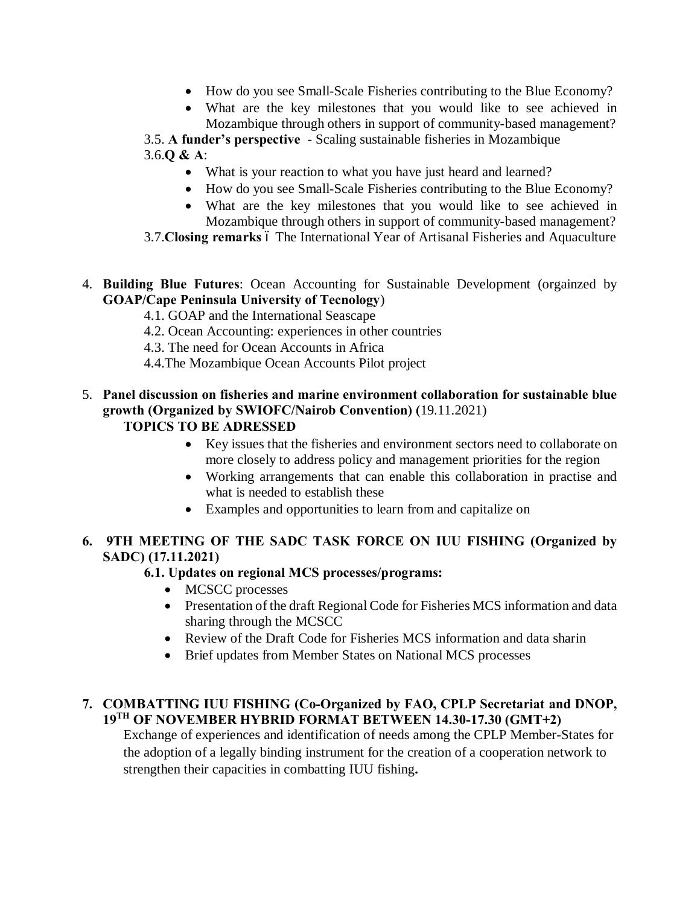- · How do you see Small-Scale Fisheries contributing to the Blue Economy?
- · What are the key milestones that you would like to see achieved in Mozambique through others in support of community-based management?

3.5. **A funder's perspective** - Scaling sustainable fisheries in Mozambique 3.6.**Q & A**:

- What is your reaction to what you have just heard and learned?
- · How do you see Small-Scale Fisheries contributing to the Blue Economy?
- · What are the key milestones that you would like to see achieved in Mozambique through others in support of community-based management?
- 3.7. Closing remarks ó The International Year of Artisanal Fisheries and Aquaculture
- 4. **Building Blue Futures**: Ocean Accounting for Sustainable Development (orgainzed by **GOAP/Cape Peninsula University of Tecnology**)
	- 4.1. GOAP and the International Seascape
	- 4.2. Ocean Accounting: experiences in other countries
	- 4.3. The need for Ocean Accounts in Africa
	- 4.4.The Mozambique Ocean Accounts Pilot project
- 5. **Panel discussion on fisheries and marine environment collaboration for sustainable blue growth (Organized by SWIOFC/Nairob Convention) (**19.11.2021) **TOPICS TO BE ADRESSED**
	- · Key issues that the fisheries and environment sectors need to collaborate on more closely to address policy and management priorities for the region
	- · Working arrangements that can enable this collaboration in practise and what is needed to establish these
	- · Examples and opportunities to learn from and capitalize on

# **6. 9TH MEETING OF THE SADC TASK FORCE ON IUU FISHING (Organized by SADC) (17.11.2021)**

# **6.1. Updates on regional MCS processes/programs:**

- MCSCC processes
- · Presentation of the draft Regional Code for Fisheries MCS information and data sharing through the MCSCC
- Review of the Draft Code for Fisheries MCS information and data sharin
- · Brief updates from Member States on National MCS processes

# **7. COMBATTING IUU FISHING (Co-Organized by FAO, CPLP Secretariat and DNOP, 19TH OF NOVEMBER HYBRID FORMAT BETWEEN 14.30-17.30 (GMT+2)**

Exchange of experiences and identification of needs among the CPLP Member-States for the adoption of a legally binding instrument for the creation of a cooperation network to strengthen their capacities in combatting IUU fishing**.**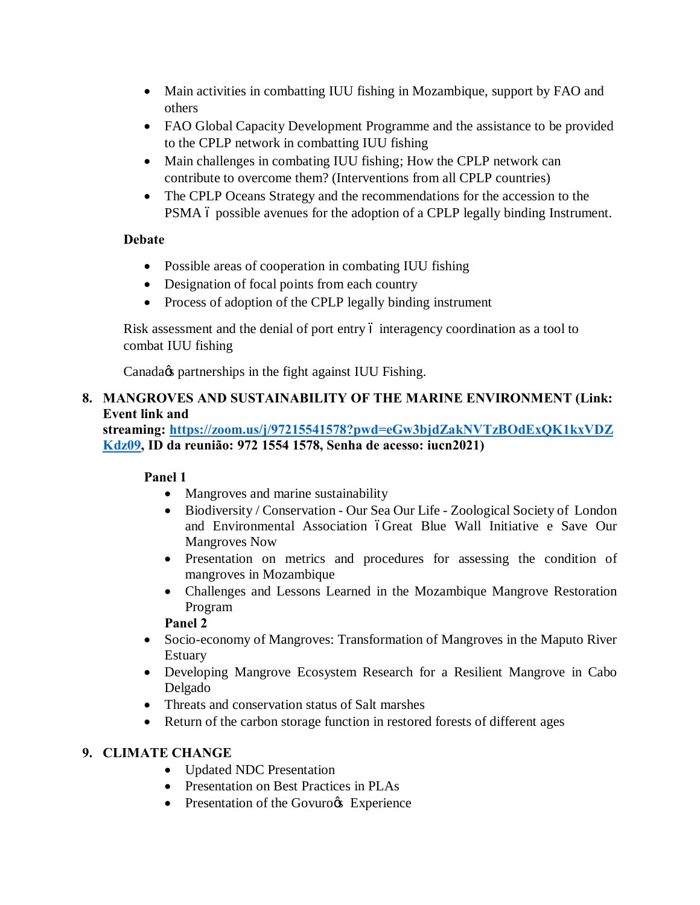- Main activities in combatting IUU fishing in Mozambique, support by FAO and others
- FAO Global Capacity Development Programme and the assistance to be provided to the CPLP network in combatting IUU fishing
- Main challenges in combating IUU fishing; How the CPLP network can contribute to overcome them? (Interventions from all CPLP countries)
- The CPLP Oceans Strategy and the recommendations for the accession to the PSMA 6 possible avenues for the adoption of a CPLP legally binding Instrument.

# **Debate**

- Possible areas of cooperation in combating IUU fishing
- Designation of focal points from each country
- Process of adoption of the CPLP legally binding instrument

Risk assessment and the denial of port entry 6 interagency coordination as a tool to combat IUU fishing

Canada $\alpha$  partnerships in the fight against IUU Fishing.

# **8. MANGROVES AND SUSTAINABILITY OF THE MARINE ENVIRONMENT (Link: Event link and**

**streaming: https://zoom.us/j/97215541578?pwd=eGw3bjdZakNVTzBOdExQK1kxVDZ Kdz09, ID da reunião: 972 1554 1578, Senha de acesso: iucn2021)**

### **Panel 1**

- Mangroves and marine sustainability
- · Biodiversity / Conservation Our Sea Our Life Zoological Society of London and Environmental Association óGreat Blue Wall Initiative e Save Our Mangroves Now
- · Presentation on metrics and procedures for assessing the condition of mangroves in Mozambique
- · Challenges and Lessons Learned in the Mozambique Mangrove Restoration Program

### **Panel 2**

- · Socio-economy of Mangroves: Transformation of Mangroves in the Maputo River Estuary
- · Developing Mangrove Ecosystem Research for a Resilient Mangrove in Cabo Delgado
- · Threats and conservation status of Salt marshes
- Return of the carbon storage function in restored forests of different ages

### **9. CLIMATE CHANGE**

- · Updated NDC Presentation
- · Presentation on Best Practices in PLAs
- Presentation of the Govuro & Experience